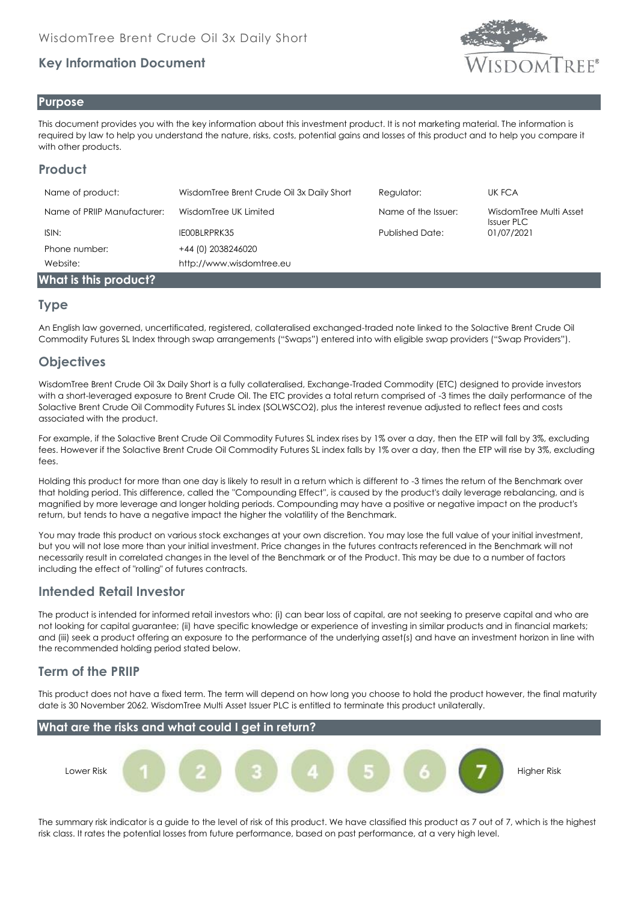# **Key Information Document**



### **Purpose**

This document provides you with the key information about this investment product. It is not marketing material. The information is required by law to help you understand the nature, risks, costs, potential gains and losses of this product and to help you compare it with other products.

# **Product**

| Name of product:            | WisdomTree Brent Crude Oil 3x Daily Short | Regulator:             | UK FCA                                      |
|-----------------------------|-------------------------------------------|------------------------|---------------------------------------------|
| Name of PRIIP Manufacturer: | WisdomTree UK Limited                     | Name of the Issuer:    | WisdomTree Multi Asset<br><b>Issuer PLC</b> |
| ISIN:                       | IEOOBLRPRK35                              | <b>Published Date:</b> | 01/07/2021                                  |
| Phone number:               | +44 (0) 2038246020                        |                        |                                             |
| Website:                    | http://www.wisdomtree.eu                  |                        |                                             |
| What is this product?       |                                           |                        |                                             |

### **Type**

An English law governed, uncertificated, registered, collateralised exchanged-traded note linked to the Solactive Brent Crude Oil Commodity Futures SL Index through swap arrangements ("Swaps") entered into with eligible swap providers ("Swap Providers").

# **Objectives**

WisdomTree Brent Crude Oil 3x Daily Short is a fully collateralised, Exchange-Traded Commodity (ETC) designed to provide investors with a short-leveraged exposure to Brent Crude Oil. The ETC provides a total return comprised of -3 times the daily performance of the Solactive Brent Crude Oil Commodity Futures SL index (SOLWSCO2), plus the interest revenue adjusted to reflect fees and costs associated with the product.

For example, if the Solactive Brent Crude Oil Commodity Futures SL index rises by 1% over a day, then the ETP will fall by 3%, excluding fees. However if the Solactive Brent Crude Oil Commodity Futures SL index falls by 1% over a day, then the ETP will rise by 3%, excluding fees.

Holding this product for more than one day is likely to result in a return which is different to -3 times the return of the Benchmark over that holding period. This difference, called the ''Compounding Effect'', is caused by the product's daily leverage rebalancing, and is magnified by more leverage and longer holding periods. Compounding may have a positive or negative impact on the product's return, but tends to have a negative impact the higher the volatility of the Benchmark.

You may trade this product on various stock exchanges at your own discretion. You may lose the full value of your initial investment, but you will not lose more than your initial investment. Price changes in the futures contracts referenced in the Benchmark will not necessarily result in correlated changes in the level of the Benchmark or of the Product. This may be due to a number of factors including the effect of "rolling" of futures contracts.

# **Intended Retail Investor**

The product is intended for informed retail investors who: (i) can bear loss of capital, are not seeking to preserve capital and who are not looking for capital guarantee; (ii) have specific knowledge or experience of investing in similar products and in financial markets; and (iii) seek a product offering an exposure to the performance of the underlying asset(s) and have an investment horizon in line with the recommended holding period stated below.

# **Term of the PRIIP**

This product does not have a fixed term. The term will depend on how long you choose to hold the product however, the final maturity date is 30 November 2062. WisdomTree Multi Asset Issuer PLC is entitled to terminate this product unilaterally.



The summary risk indicator is a guide to the level of risk of this product. We have classified this product as 7 out of 7, which is the highest risk class. It rates the potential losses from future performance, based on past performance, at a very high level.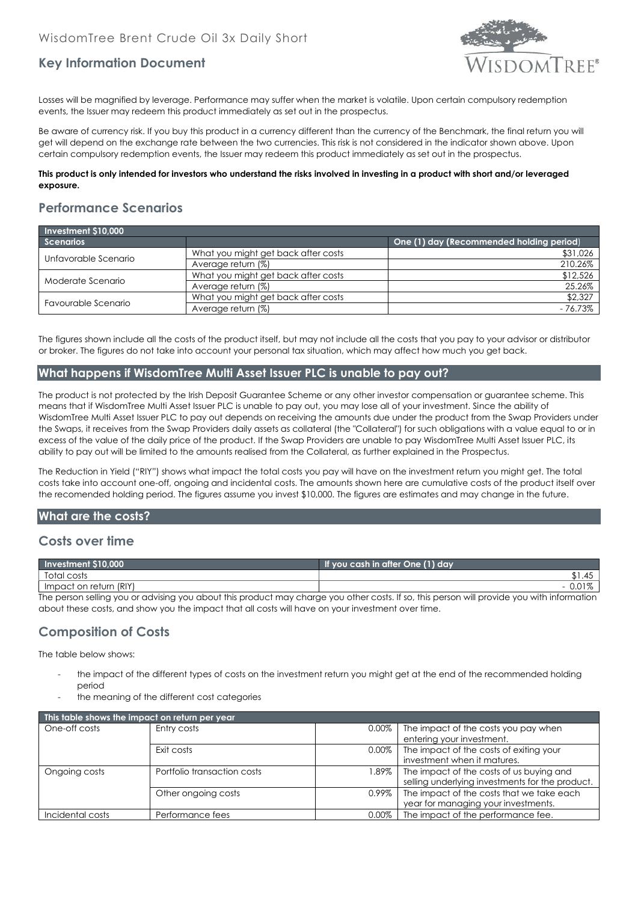

# **Key Information Document**

Losses will be magnified by leverage. Performance may suffer when the market is volatile. Upon certain compulsory redemption events, the Issuer may redeem this product immediately as set out in the prospectus.

Be aware of currency risk. If you buy this product in a currency different than the currency of the Benchmark, the final return you will get will depend on the exchange rate between the two currencies. This risk is not considered in the indicator shown above. Upon certain compulsory redemption events, the Issuer may redeem this product immediately as set out in the prospectus.

#### **This product is only intended for investors who understand the risks involved in investing in a product with short and/or leveraged exposure.**

### **Performance Scenarios**

| Investment \$10,000  |                                     |                                          |  |  |
|----------------------|-------------------------------------|------------------------------------------|--|--|
| <b>Scenarios</b>     |                                     | One (1) day (Recommended holding period) |  |  |
| Unfavorable Scenario | What you might get back after costs | \$31,026                                 |  |  |
|                      | Average return (%)                  | 210.26%                                  |  |  |
| Moderate Scenario    | What you might get back after costs | \$12,526                                 |  |  |
|                      | Average return (%)                  | 25.26%                                   |  |  |
| Favourable Scenario  | What you might get back after costs | \$2,327                                  |  |  |
|                      | Average return (%)                  | $-76.73%$                                |  |  |

The figures shown include all the costs of the product itself, but may not include all the costs that you pay to your advisor or distributor or broker. The figures do not take into account your personal tax situation, which may affect how much you get back.

### **What happens if WisdomTree Multi Asset Issuer PLC is unable to pay out?**

The product is not protected by the Irish Deposit Guarantee Scheme or any other investor compensation or guarantee scheme. This means that if WisdomTree Multi Asset Issuer PLC is unable to pay out, you may lose all of your investment. Since the ability of WisdomTree Multi Asset Issuer PLC to pay out depends on receiving the amounts due under the product from the Swap Providers under the Swaps, it receives from the Swap Providers daily assets as collateral (the "Collateral") for such obligations with a value equal to or in excess of the value of the daily price of the product. If the Swap Providers are unable to pay WisdomTree Multi Asset Issuer PLC, its ability to pay out will be limited to the amounts realised from the Collateral, as further explained in the Prospectus.

The Reduction in Yield ("RIY") shows what impact the total costs you pay will have on the investment return you might get. The total costs take into account one-off, ongoing and incidental costs. The amounts shown here are cumulative costs of the product itself over the recomended holding period. The figures assume you invest \$10,000. The figures are estimates and may change in the future.

### **What are the costs?**

### **Costs over time**

| Investment \$10,000                                                                                                                        | If you cash in after One (1) day |  |
|--------------------------------------------------------------------------------------------------------------------------------------------|----------------------------------|--|
| Total costs                                                                                                                                |                                  |  |
| Impact on return (RIY)                                                                                                                     |                                  |  |
| The person selling you or advising you about this product may charge you other costs. If so, this person will provide you with information |                                  |  |

The person selling you or advising you about this product may charge you other costs. If so, this person will provide you with information about these costs, and show you the impact that all costs will have on your investment over time.

# **Composition of Costs**

The table below shows:

- the impact of the different types of costs on the investment return you might get at the end of the recommended holding period
- the meaning of the different cost categories

| This table shows the impact on return per year |                             |          |                                                                                             |  |
|------------------------------------------------|-----------------------------|----------|---------------------------------------------------------------------------------------------|--|
| One-off costs                                  | Entry costs                 | 0.00%    | The impact of the costs you pay when<br>entering your investment.                           |  |
|                                                | Exit costs                  | $0.00\%$ | The impact of the costs of exiting your<br>investment when it matures.                      |  |
| Ongoing costs                                  | Portfolio transaction costs | $1.89\%$ | The impact of the costs of us buying and<br>selling underlying investments for the product. |  |
|                                                | Other ongoing costs         | 0.99%    | The impact of the costs that we take each<br>year for managing your investments.            |  |
| Incidental costs                               | Performance fees            | $0.00\%$ | The impact of the performance fee.                                                          |  |